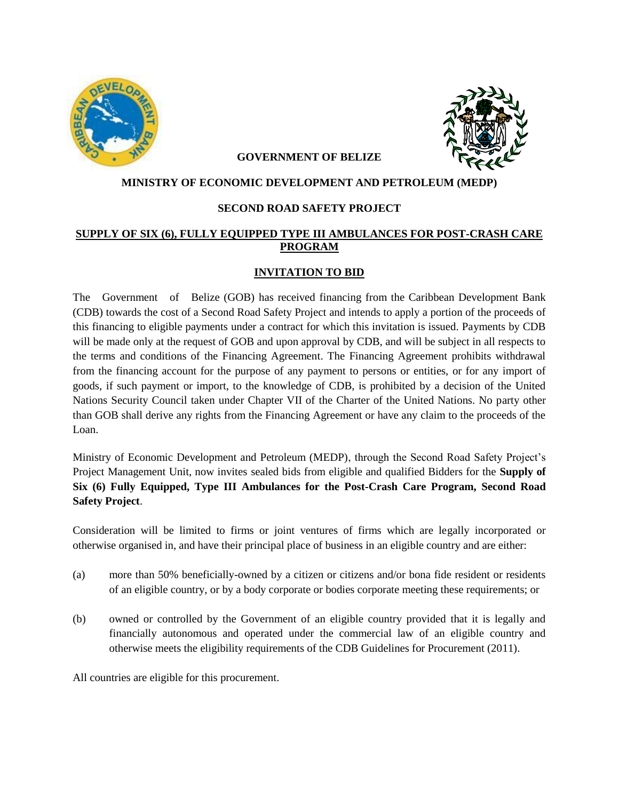



#### **GOVERNMENT OF BELIZE**

#### **MINISTRY OF ECONOMIC DEVELOPMENT AND PETROLEUM (MEDP)**

#### **SECOND ROAD SAFETY PROJECT**

### **SUPPLY OF SIX (6), FULLY EQUIPPED TYPE III AMBULANCES FOR POST-CRASH CARE PROGRAM**

### **INVITATION TO BID**

The Government of Belize (GOB) has received financing from the Caribbean Development Bank (CDB) towards the cost of a Second Road Safety Project and intends to apply a portion of the proceeds of this financing to eligible payments under a contract for which this invitation is issued. Payments by CDB will be made only at the request of GOB and upon approval by CDB, and will be subject in all respects to the terms and conditions of the Financing Agreement. The Financing Agreement prohibits withdrawal from the financing account for the purpose of any payment to persons or entities, or for any import of goods, if such payment or import, to the knowledge of CDB, is prohibited by a decision of the United Nations Security Council taken under Chapter VII of the Charter of the United Nations. No party other than GOB shall derive any rights from the Financing Agreement or have any claim to the proceeds of the Loan.

Ministry of Economic Development and Petroleum (MEDP), through the Second Road Safety Project's Project Management Unit, now invites sealed bids from eligible and qualified Bidders for the **Supply of Six (6) Fully Equipped, Type III Ambulances for the Post-Crash Care Program, Second Road Safety Project**.

Consideration will be limited to firms or joint ventures of firms which are legally incorporated or otherwise organised in, and have their principal place of business in an eligible country and are either:

- (a) more than 50% beneficially-owned by a citizen or citizens and/or bona fide resident or residents of an eligible country, or by a body corporate or bodies corporate meeting these requirements; or
- (b) owned or controlled by the Government of an eligible country provided that it is legally and financially autonomous and operated under the commercial law of an eligible country and otherwise meets the eligibility requirements of the CDB Guidelines for Procurement (2011).

All countries are eligible for this procurement.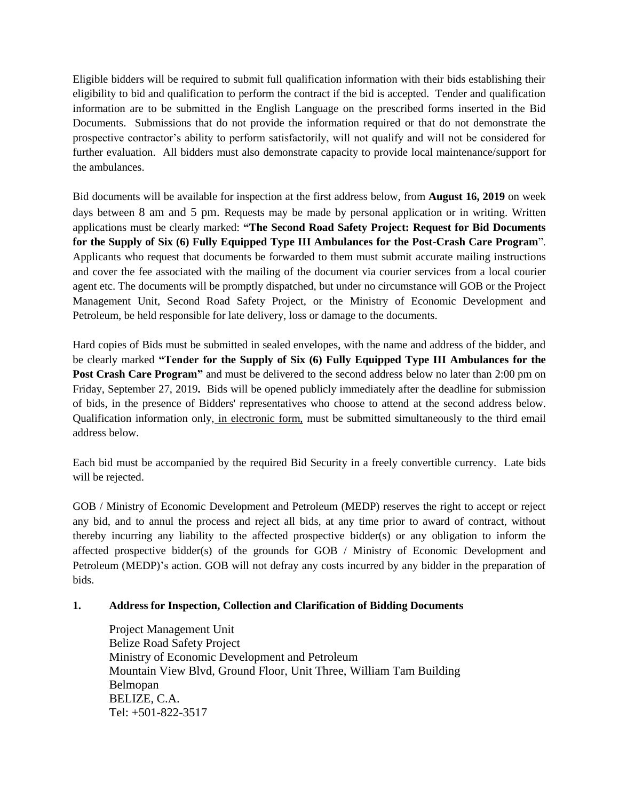Eligible bidders will be required to submit full qualification information with their bids establishing their eligibility to bid and qualification to perform the contract if the bid is accepted. Tender and qualification information are to be submitted in the English Language on the prescribed forms inserted in the Bid Documents. Submissions that do not provide the information required or that do not demonstrate the prospective contractor's ability to perform satisfactorily, will not qualify and will not be considered for further evaluation. All bidders must also demonstrate capacity to provide local maintenance/support for the ambulances.

Bid documents will be available for inspection at the first address below, from **August 16, 2019** on week days between 8 am and 5 pm. Requests may be made by personal application or in writing. Written applications must be clearly marked: **"The Second Road Safety Project: Request for Bid Documents for the Supply of Six (6) Fully Equipped Type III Ambulances for the Post-Crash Care Program**". Applicants who request that documents be forwarded to them must submit accurate mailing instructions and cover the fee associated with the mailing of the document via courier services from a local courier agent etc. The documents will be promptly dispatched, but under no circumstance will GOB or the Project Management Unit, Second Road Safety Project, or the Ministry of Economic Development and Petroleum, be held responsible for late delivery, loss or damage to the documents.

Hard copies of Bids must be submitted in sealed envelopes, with the name and address of the bidder, and be clearly marked **"Tender for the Supply of Six (6) Fully Equipped Type III Ambulances for the Post Crash Care Program"** and must be delivered to the second address below no later than 2:00 pm on Friday, September 27, 2019**.** Bids will be opened publicly immediately after the deadline for submission of bids, in the presence of Bidders' representatives who choose to attend at the second address below. Qualification information only, in electronic form, must be submitted simultaneously to the third email address below.

Each bid must be accompanied by the required Bid Security in a freely convertible currency. Late bids will be rejected.

GOB / Ministry of Economic Development and Petroleum (MEDP) reserves the right to accept or reject any bid, and to annul the process and reject all bids, at any time prior to award of contract, without thereby incurring any liability to the affected prospective bidder(s) or any obligation to inform the affected prospective bidder(s) of the grounds for GOB  $/$  Ministry of Economic Development and Petroleum (MEDP)'s action. GOB will not defray any costs incurred by any bidder in the preparation of bids.

# **1. Address for Inspection, Collection and Clarification of Bidding Documents**

Project Management Unit Belize Road Safety Project Ministry of Economic Development and Petroleum Mountain View Blvd, Ground Floor, Unit Three, William Tam Building Belmopan BELIZE, C.A. Tel: +501-822-3517